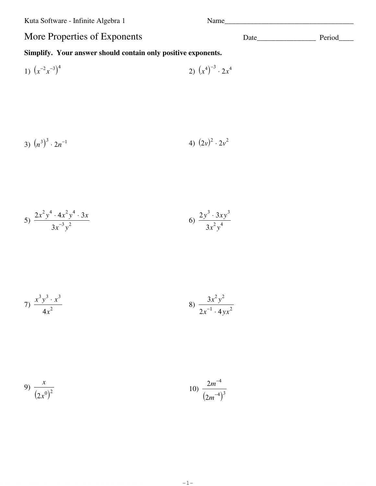Kuta Software - Infinite Algebra 1 Name\_\_\_\_\_\_\_\_\_\_\_\_\_\_\_\_\_\_\_\_\_\_\_\_\_\_\_\_\_\_\_\_\_\_\_

## More Properties of Exponents Date\_\_\_\_\_\_\_\_\_\_\_\_\_\_\_\_ Period\_\_\_\_

## **Simplify. Your answer should contain only positive exponents.**

1) 
$$
(x^{-2}x^{-3})^4
$$
 2)  $(x^4)^{-3} \cdot 2x^4$ 

3) 
$$
(n^3)^3 \cdot 2n^{-1}
$$
 4)  $(2v)^2 \cdot 2v^2$ 

5) 
$$
\frac{2x^2y^4 \cdot 4x^2y^4 \cdot 3x}{3x^{-3}y^2}
$$
6) 
$$
\frac{2y^3 \cdot 3xy^3}{3x^2y^4}
$$

7) 
$$
\frac{x^3y^3 \cdot x^3}{4x^2}
$$
8) 
$$
\frac{3x^2y^2}{2x^{-1} \cdot 4yx^2}
$$

9) 
$$
\frac{x}{(2x^0)^2}
$$
 10)  $\frac{2m^{-4}}{(2m^{-4})^3}$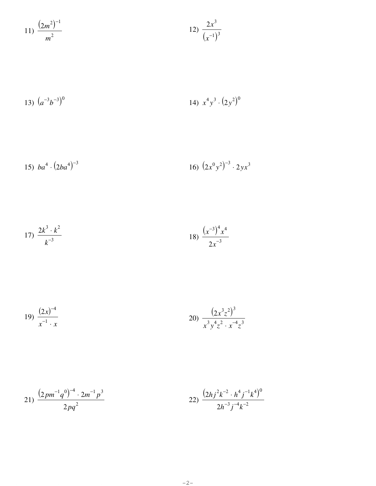$$
11) \frac{(2m^2)^{-1}}{m^2} \qquad \qquad 12) \frac{2x^3}{(x^{-1})^3}
$$

13) 
$$
(a^{-3}b^{-3})^0
$$
 14)  $x^4y^3 \cdot (2y^2)^0$ 

15) 
$$
ba^4 \cdot (2ba^4)^{-3}
$$
   
16)  $(2x^0y^2)^{-3} \cdot 2yx^3$ 

$$
17) \frac{2k^3 \cdot k^2}{k^{-3}}
$$
\n
$$
18) \frac{(x^{-3})^4 x^4}{2x^{-3}}
$$

$$
19) \frac{(2x)^{-4}}{x^{-1} \cdot x}
$$
\n
$$
20) \frac{(2x^3z^2)^3}{x^3y^4z^2 \cdot x^{-4}z^3}
$$

$$
21) \frac{(2pm^{-1}q^{0})^{-4} \cdot 2m^{-1}p^{3}}{2pq^{2}}
$$
\n
$$
22) \frac{(2hj^{2}k^{-2} \cdot h^{4}j^{-1}k^{4})^{0}}{2h^{-3}j^{-4}k^{-2}}
$$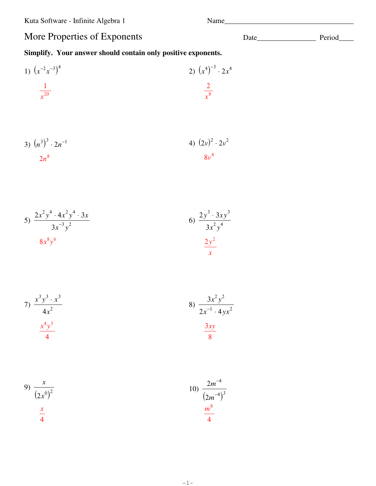## More Properties of Exponents

## Simplify. Your answer should contain only positive exponents.

1) 
$$
(x^{-2}x^{-3})^4
$$
  
\n2)  $(x^4)^{-3} \cdot 2x^4$   
\n2)  $\frac{1}{x^8}$ 

3) 
$$
(n^3)^3 \cdot 2n^{-1}
$$
  
2n<sup>8</sup>  
3)  $(2v)^2 \cdot 2v^2$   
3v<sup>4</sup>

5) 
$$
\frac{2x^2y^4 \cdot 4x^2y^4 \cdot 3x}{3x^{-3}y^2}
$$
6) 
$$
\frac{2y^3 \cdot 3xy^3}{3x^2y^4}
$$

7) 
$$
\frac{x^3y^3 \cdot x^3}{4x^2}
$$
  
8) 
$$
\frac{3x^2y^2}{2x^{-1} \cdot 4yx^2}
$$
  
4) 
$$
\frac{x^4y^3}{4}
$$

9) 
$$
\frac{x}{(2x^0)^2}
$$
  
 $\frac{x}{4}$   
10)  $\frac{2m^{-4}}{(2m^{-4})^3}$   
 $\frac{m^8}{4}$ 

$$
-1-
$$